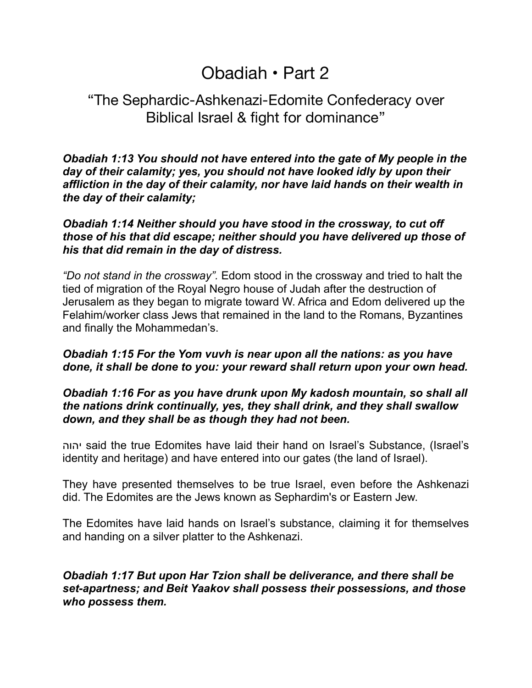# Obadiah • Part 2

# "The Sephardic-Ashkenazi-Edomite Confederacy over Biblical Israel & fight for dominance"

*Obadiah 1:13 You should not have entered into the gate of My people in the day of their calamity; yes, you should not have looked idly by upon their affliction in the day of their calamity, nor have laid hands on their wealth in the day of their calamity;*

# *Obadiah 1:14 Neither should you have stood in the crossway, to cut off those of his that did escape; neither should you have delivered up those of his that did remain in the day of distress.*

*"Do not stand in the crossway".* Edom stood in the crossway and tried to halt the tied of migration of the Royal Negro house of Judah after the destruction of Jerusalem as they began to migrate toward W. Africa and Edom delivered up the Felahim/worker class Jews that remained in the land to the Romans, Byzantines and finally the Mohammedan's.

# *Obadiah 1:15 For the Yom vuvh is near upon all the nations: as you have done, it shall be done to you: your reward shall return upon your own head.*

# *Obadiah 1:16 For as you have drunk upon My kadosh mountain, so shall all the nations drink continually, yes, they shall drink, and they shall swallow down, and they shall be as though they had not been.*

יהוה said the true Edomites have laid their hand on Israel's Substance, (Israel's identity and heritage) and have entered into our gates (the land of Israel).

They have presented themselves to be true Israel, even before the Ashkenazi did. The Edomites are the Jews known as Sephardim's or Eastern Jew.

The Edomites have laid hands on Israel's substance, claiming it for themselves and handing on a silver platter to the Ashkenazi.

# *Obadiah 1:17 But upon Har Tzion shall be deliverance, and there shall be set-apartness; and Beit Yaakov shall possess their possessions, and those who possess them.*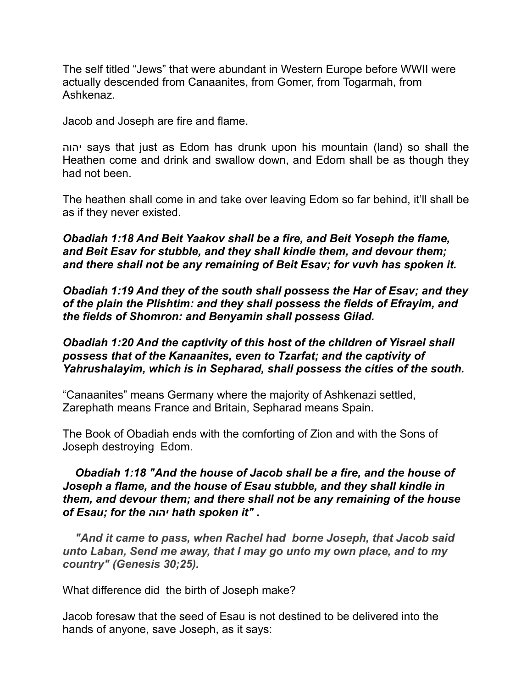The self titled "Jews" that were abundant in Western Europe before WWII were actually descended from Canaanites, from Gomer, from Togarmah, from Ashkenaz.

Jacob and Joseph are fire and flame.

יהוה says that just as Edom has drunk upon his mountain (land) so shall the Heathen come and drink and swallow down, and Edom shall be as though they had not been.

The heathen shall come in and take over leaving Edom so far behind, it'll shall be as if they never existed.

*Obadiah 1:18 And Beit Yaakov shall be a fire, and Beit Yoseph the flame, and Beit Esav for stubble, and they shall kindle them, and devour them; and there shall not be any remaining of Beit Esav; for vuvh has spoken it.* 

*Obadiah 1:19 And they of the south shall possess the Har of Esav; and they of the plain the Plishtim: and they shall possess the fields of Efrayim, and the fields of Shomron: and Benyamin shall possess Gilad.* 

## *Obadiah 1:20 And the captivity of this host of the children of Yisrael shall possess that of the Kanaanites, even to Tzarfat; and the captivity of Yahrushalayim, which is in Sepharad, shall possess the cities of the south.*

"Canaanites" means Germany where the majority of Ashkenazi settled, Zarephath means France and Britain, Sepharad means Spain.

The Book of Obadiah ends with the comforting of Zion and with the Sons of Joseph destroying Edom.

# *Obadiah 1:18 "And the house of Jacob shall be a fire, and the house of Joseph a flame, and the house of Esau stubble, and they shall kindle in them, and devour them; and there shall not be any remaining of the house of Esau; for the יהוה hath spoken it" .*

 *"And it came to pass, when Rachel had borne Joseph, that Jacob said unto Laban, Send me away, that I may go unto my own place, and to my country" (Genesis 30;25).* 

What difference did the birth of Joseph make?

Jacob foresaw that the seed of Esau is not destined to be delivered into the hands of anyone, save Joseph, as it says: